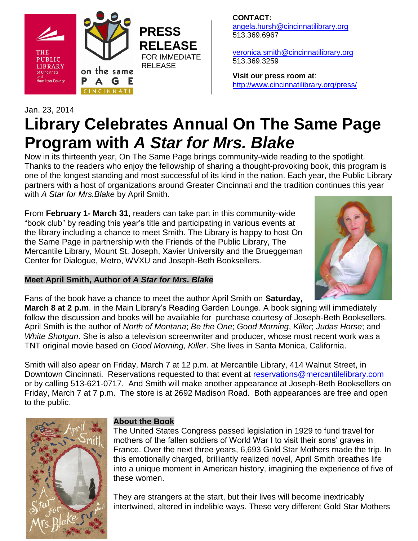

**CONTACT:** [angela.hursh@cincinnatilibrary.org](mailto:angela.hursh@cincinnatilibrary.org) 513.369.6967

[veronica.smith@cincinnatilibrary.org](mailto:veronica.smith@cincinnatilibrary.org) 513.369.3259

**Visit our press room at**: <http://www.cincinnatilibrary.org/press/>

# Jan. 23, 2014 **Library Celebrates Annual On The Same Page Program with** *A Star for Mrs. Blake*

Now in its thirteenth year, On The Same Page brings community-wide reading to the spotlight. Thanks to the readers who enjoy the fellowship of sharing a thought-provoking book, this program is one of the longest standing and most successful of its kind in the nation. Each year, the Public Library partners with a host of organizations around Greater Cincinnati and the tradition continues this year with *A Star for Mrs.Blake* by April Smith.

From **February 1- March 31**, readers can take part in this community-wide "book club" by reading this year's title and participating in various events at the library including a chance to meet Smith. The Library is happy to host On the Same Page in partnership with the Friends of the Public Library, The Mercantile Library, Mount St. Joseph, Xavier University and the Brueggeman Center for Dialogue, Metro, WVXU and Joseph-Beth Booksellers.





Fans of the book have a chance to meet the author April Smith on **Saturday,**

**March 8 at 2 p.m**. in the Main Library's Reading Garden Lounge. A book signing will immediately follow the discussion and books will be available for purchase courtesy of Joseph-Beth Booksellers. April Smith is the author of *North of Montana*; *Be the One*; *Good Morning*, *Killer*; *Judas Horse*; and *White Shotgun*. She is also a television screenwriter and producer, whose most recent work was a TNT original movie based on *Good Morning, Killer*. She lives in Santa Monica, California.

Smith will also apear on Friday, March 7 at 12 p.m. at Mercantile Library, 414 Walnut Street, in Downtown Cincinnati. Reservations requested to that event at [reservations@mercantilelibrary.com](mailto:reservations@mercantilelibrary.com) or by calling 513-621-0717. And Smith will make another appearance at Joseph-Beth Booksellers on Friday, March 7 at 7 p.m. The store is at 2692 Madison Road. Both appearances are free and open to the public.



# **About the Book**

The United States Congress passed legislation in 1929 to fund travel for mothers of the fallen soldiers of World War I to visit their sons' graves in France. Over the next three years, 6,693 Gold Star Mothers made the trip. In this emotionally charged, brilliantly realized novel, April Smith breathes life into a unique moment in American history, imagining the experience of five of these women.

They are strangers at the start, but their lives will become inextricably intertwined, altered in indelible ways. These very different Gold Star Mothers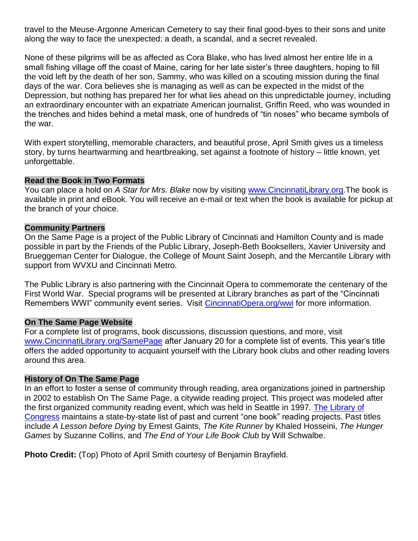travel to the Meuse-Argonne American Cemetery to say their final good-byes to their sons and unite along the way to face the unexpected: a death, a scandal, and a secret revealed.

None of these pilgrims will be as affected as Cora Blake, who has lived almost her entire life in a small fishing village off the coast of Maine, caring for her late sister's three daughters, hoping to fill the void left by the death of her son, Sammy, who was killed on a scouting mission during the final days of the war. Cora believes she is managing as well as can be expected in the midst of the Depression, but nothing has prepared her for what lies ahead on this unpredictable journey, including an extraordinary encounter with an expatriate American journalist, Griffin Reed, who was wounded in the trenches and hides behind a metal mask, one of hundreds of "tin noses" who became symbols of the war.

With expert storytelling, memorable characters, and beautiful prose, April Smith gives us a timeless story, by turns heartwarming and heartbreaking, set against a footnote of history – little known, yet unforgettable.

#### **Read the Book in Two Formats**

You can place a hold on *A Star for Mrs. Blake* now by visiting [www.CincinnatiLibrary.org.](http://www.cincinnatilibrary.org/)The book is available in print and eBook. You will receive an e-mail or text when the book is available for pickup at the branch of your choice.

### **Community Partners**

On the Same Page is a project of the Public Library of Cincinnati and Hamilton County and is made possible in part by the Friends of the Public Library, Joseph-Beth Booksellers, Xavier University and Brueggeman Center for Dialogue, the College of Mount Saint Joseph, and the Mercantile Library with support from WVXU and Cincinnati Metro.

The Public Library is also partnering with the Cincinnait Opera to commemorate the centenary of the First World War. Special programs will be presented at Library branches as part of the "Cincinnati Remembers WWI" community event series. Visit [CincinnatiOpera.org/wwi](http://www.cincinnatiopera.org/wwi) for more information.

## **On The Same Page Website**

For a complete list of programs, book discussions, discussion questions, and more, visit [www.CincinnatiLibrary.org/SamePage](http://www.cincinnatilibrary.org/SamePage) after January 20 for a complete list of events. This year's title offers the added opportunity to acquaint yourself with the Library book clubs and other reading lovers around this area.

#### **History of On The Same Page**

In an effort to foster a sense of community through reading, area organizations joined in partnership in 2002 to establish On The Same Page, a citywide reading project. This project was modeled after the first organized community reading event, which was held in Seattle in 1997. [The Library of](http://www.loc.gov/index.html)  [Congress](http://www.loc.gov/index.html) maintains a state-by-state list of past and current "one book" reading projects. Past titles include *A Lesson before Dying* by Ernest Gaints, *The Kite Runner* by Khaled Hosseini, *The Hunger Games* by Suzanne Collins, and *The End of Your Life Book Club* by Will Schwalbe.

**Photo Credit:** (Top) Photo of April Smith courtesy of Benjamin Brayfield.